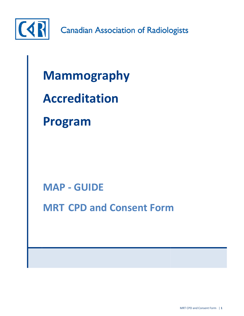

**Canadian Association of Radiologists** 

# **Mammography**

## **Accreditation**

### **Program**

**MAP - GUIDE**

**MRT CPD and Consent Form**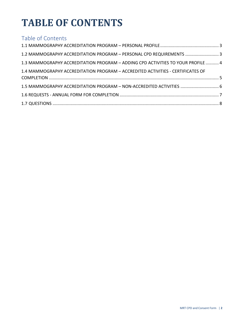### **TABLE OF CONTENTS**

#### Table of Contents

| 1.2 MAMMOGRAPHY ACCREDITATION PROGRAM - PERSONAL CPD REQUIREMENTS  3             |  |
|----------------------------------------------------------------------------------|--|
| 1.3 MAMMOGRAPHY ACCREDITATION PROGRAM - ADDING CPD ACTIVITIES TO YOUR PROFILE  4 |  |
| 1.4 MAMMOGRAPHY ACCREDITATION PROGRAM - ACCREDITED ACTIVITIES - CERTIFICATES OF  |  |
|                                                                                  |  |
| 1.5 MAMMOGRAPHY ACCREDITATION PROGRAM - NON-ACCREDITED ACTIVITIES  6             |  |
|                                                                                  |  |
|                                                                                  |  |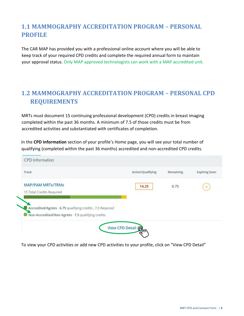### <span id="page-2-0"></span>**1.1 MAMMOGRAPHY ACCREDITATION PROGRAM – PERSONAL PROFILE**

The CAR MAP has provided you with a professional online account where you will be able to keep track of your required CPD credits and complete the required annual form to maintain your approval status. Only MAP approved technologists can work with a MAP accredited unit.

#### <span id="page-2-1"></span>**1.2 MAMMOGRAPHY ACCREDITATION PROGRAM – PERSONAL CPD REQUIREMENTS**

MRTs must document 15 continuing professional development (CPD) credits in breast imaging completed within the past 36 months. A minimum of 7.5 of those credits must be from accredited activities and substantiated with certificates of completion.

In the **CPD Information** section of your profile's Home page, you will see your total number of qualifying (completed within the past 36 months) accredited and non-accredited CPD credits.

| Track                                                     | Active/Qualifying | Remaining | <b>Expiring Soon</b> |
|-----------------------------------------------------------|-------------------|-----------|----------------------|
| <b>MAP/PAM MRTs/TRMs</b><br>15 Total Credits Required     | 14.25             | 0.75      | 0                    |
|                                                           |                   |           |                      |
|                                                           |                   |           |                      |
| Accredited/Agréés - 6.75 qualifying credits, 7.5 Required |                   |           |                      |

To view your CPD activities or add new CPD activities to your profile, click on "View CPD Detail"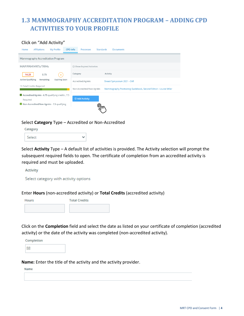### <span id="page-3-0"></span>**1.3 MAMMOGRAPHY ACCREDITATION PROGRAM – ADDING CPD ACTIVITIES TO YOUR PROFILE**

#### Click on "Add Activity"

| Affiliations<br>My Profile<br><b>CPD</b> Info<br>Home        | Processes<br><b>Standards</b> | <b>Documents</b>                                                  |  |  |  |  |
|--------------------------------------------------------------|-------------------------------|-------------------------------------------------------------------|--|--|--|--|
| Mammography Accreditation Program                            |                               |                                                                   |  |  |  |  |
| <b>MAP/PAM MRTs/TRMs</b>                                     | □ Show Expired Activities     |                                                                   |  |  |  |  |
| 14.25<br>0.75<br>$\mathbf{o}$                                | Category                      | Activity                                                          |  |  |  |  |
| Active/Qualifying<br><b>Expiring Soon</b><br>Remaining       | Accredited/Agréés             | Breast Symposium 2021 - CAR                                       |  |  |  |  |
| 15 Total Credits Required                                    | Non-Accredited/Non Agréés     | Mammography Positioning Guidebook, Second Edition - Louise Miller |  |  |  |  |
| Accredited/Agréés - 6.75 qualifying credits, 7.5<br>Required | ⊕ Add Activity                |                                                                   |  |  |  |  |
| Non-Accredited/Non Agréés - 7.5 qualifying                   |                               |                                                                   |  |  |  |  |

Select **Category** Type – Accredited or Non-Accredited

| Category |  |
|----------|--|
| Select   |  |

Select **Activity** Type – A default list of activities is provided. The Activity selection will prompt the subsequent required fields to open. The certificate of completion from an accredited activity is required and must be uploaded.

**Activity** 

Select category with activity options

Enter **Hours** (non-accredited activity) or **Total Credits** (accredited activity)

| Hours | <b>Total Credits</b> |
|-------|----------------------|
|       |                      |

Click on the **Completion** field and select the date as listed on your certificate of completion (accredited activity) or the date of the activity was completed (non-accredited activity).

| Completion |  |
|------------|--|
|            |  |

**Name:** Enter the title of the activity and the activity provider.

**Name**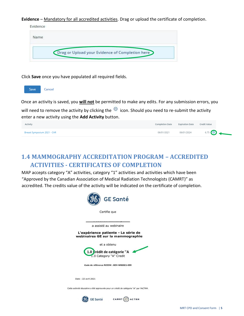**Evidence** – Mandatory for all accredited activities. Drag or upload the certificate of completion.

| Name |                                                 |  |
|------|-------------------------------------------------|--|
|      |                                                 |  |
|      | Drag or Upload your Evidence of Completion here |  |

Click **Save** once you have populated all required fields.



Once an activity is saved, you **will not** be permitted to make any edits. For any submission errors, you

will need to remove the activity by clicking the  $\Theta$  icon. Should you need to re-submit the activity enter a new activity using the **Add Activity** button.

| Activity                    |            | Completion Date Expiration Date | Credit Value |
|-----------------------------|------------|---------------------------------|--------------|
| Breast Symposium 2021 - CAR | 06/01/2021 | 06/01/2024                      | 6.75         |

#### <span id="page-4-0"></span>**1.4 MAMMOGRAPHY ACCREDITATION PROGRAM – ACCREDITED ACTIVITIES - CERTIFICATES OF COMPLETION**

MAP accepts category "A" activities, category "1" activities and activities which have been "Approved by the Canadian Association of Medical Radiation Technologists (CAMRT)" as accredited. The credits value of the activity will be indicated on the certificate of completion.





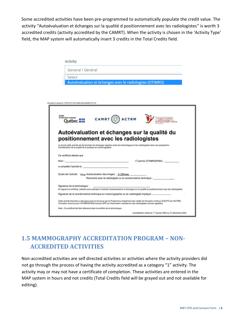Some accredited activities have been pre-programmed to automatically populate the credit value. The activity "Autoévaluation et échanges sur la qualité d positionnement avec les radiologistes" is worth 3 accredited credits (activity accredited by the CAMRT). When the activity is chosen in the 'Activity Type' field, the MAP system will automatically insert 3 credits in the Total Credits field.

| <b>Activity</b>                                                                                              |                                                                                                                                                                                                                                                            |
|--------------------------------------------------------------------------------------------------------------|------------------------------------------------------------------------------------------------------------------------------------------------------------------------------------------------------------------------------------------------------------|
| General / Général                                                                                            |                                                                                                                                                                                                                                                            |
| Select                                                                                                       |                                                                                                                                                                                                                                                            |
|                                                                                                              | Autoévaluation et échanges avec le radiologiste (OTIMRO)                                                                                                                                                                                                   |
| ou5ign Envelope ID: F2CCCF37-4372-4600-A4C6-683891F21219<br>Santé<br>et Services sociaux<br>Québec <b>HH</b> | CAMRT (C) ACTRM                                                                                                                                                                                                                                            |
|                                                                                                              |                                                                                                                                                                                                                                                            |
|                                                                                                              | Autoévaluation et échanges sur la qualité du<br>positionnement avec les radiologistes<br>Le but de cette activité est de favoriser les échanges réguliers entre les technologues et les radiologistes dans une perspective                                 |
| d'amélioration de la qualité de la pratique en mammographie.<br>Ce certificat atteste que                    |                                                                                                                                                                                                                                                            |
| Nom:                                                                                                         | n° permis OTIMROEPMQ :<br>the contract of the contract of the contract of the con-                                                                                                                                                                         |
|                                                                                                              |                                                                                                                                                                                                                                                            |
|                                                                                                              | Durée de l'activité : 1hre Autoévaluation des images : 4,25hres<br>Rencontre avec le radiologiste ou la coordonnatrice technique :                                                                                                                         |
|                                                                                                              | En signant ce certificat, j'atteste avoir participé à l'activité d'autoévaluation et échanges sur la qualité du positionnement avec les radiologistes.                                                                                                     |
|                                                                                                              | Signature de la coordonnatrice technique en mammographie ou du radiologiste impliqué :                                                                                                                                                                     |
|                                                                                                              | Cette activité éducative a été approuvée et reconnue par le Programme d'agrément des crédits de formation continue (PACFP) de l'ACTRM.<br>Formation reconnue par l'OTIMROEPMQ (heures DPP) et l'Association canadienne des radiologistes (heures agréées). |
| a complété l'activité le :<br>Signature de la technologue :                                                  | Note : Ce certificat doit être téléversé dans le portfolio de la technologue.                                                                                                                                                                              |

#### <span id="page-5-0"></span>**1.5 MAMMOGRAPHY ACCREDITATION PROGRAM – NON-ACCREDITED ACTIVITIES**

Non-accredited activities are self directed activities or activities where the activity providers did not go through the process of having the activity accredited as a category "1" activity. The activity may or may not have a certificate of completion. These activities are entered in the MAP system in hours and not credits (Total Credits field will be grayed out and not available for editing).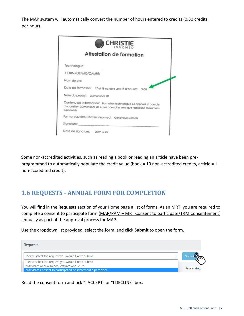The MAP system will automatically convert the number of hours entered to credits (0.50 credits per hour).

| <b>CHRISTIE</b>                                                                                                                                          |
|----------------------------------------------------------------------------------------------------------------------------------------------------------|
| Attestation de formation                                                                                                                                 |
|                                                                                                                                                          |
| # OTIMROEPMQ/CAMRT:                                                                                                                                      |
|                                                                                                                                                          |
| Date de formation: 17 et 18 octobre 2019 # d'heures: 3h30                                                                                                |
| Nom du produit: 3Dimensions 2D                                                                                                                           |
| Contenu de la formation: Formation technologue sur appareil et console<br>d'acquisition 3Dimensions 2D et ses acessoires ainsi que réalisation d'examens |
| Formateur/trice Christie Innomed: Genevieve Demers                                                                                                       |
| Signature: ______________                                                                                                                                |
|                                                                                                                                                          |

Some non-accredited activities, such as reading a book or reading an article have been preprogrammed to automatically populate the credit value (book = 10 non-accredited credits, article = 1 non-accredited credit).

### <span id="page-6-0"></span>**1.6 REQUESTS - ANNUAL FORM FOR COMPLETION**

You will find in the **Requests** section of your Home page a list of forms. As an MRT, you are required to complete a consent to participate form (MAP/PAM – MRT Consent to participate/TRM Consentement) annually as part of the approval process for MAP.

Use the dropdown list provided, select the form, and click **Submit** to open the form.

| <b>Requests</b>                                                                               |            |
|-----------------------------------------------------------------------------------------------|------------|
| Please select the request you would like to submit<br>$\check{ }$                             |            |
| Please select the request you would like to submit<br>MAP/PAM Annual Reads/lectures Annuelles |            |
| MAP/PAM Consent to participate/Consentement à participer                                      | Processing |

Read the consent form and tick "I ACCEPT" or "I DECLINE" box.